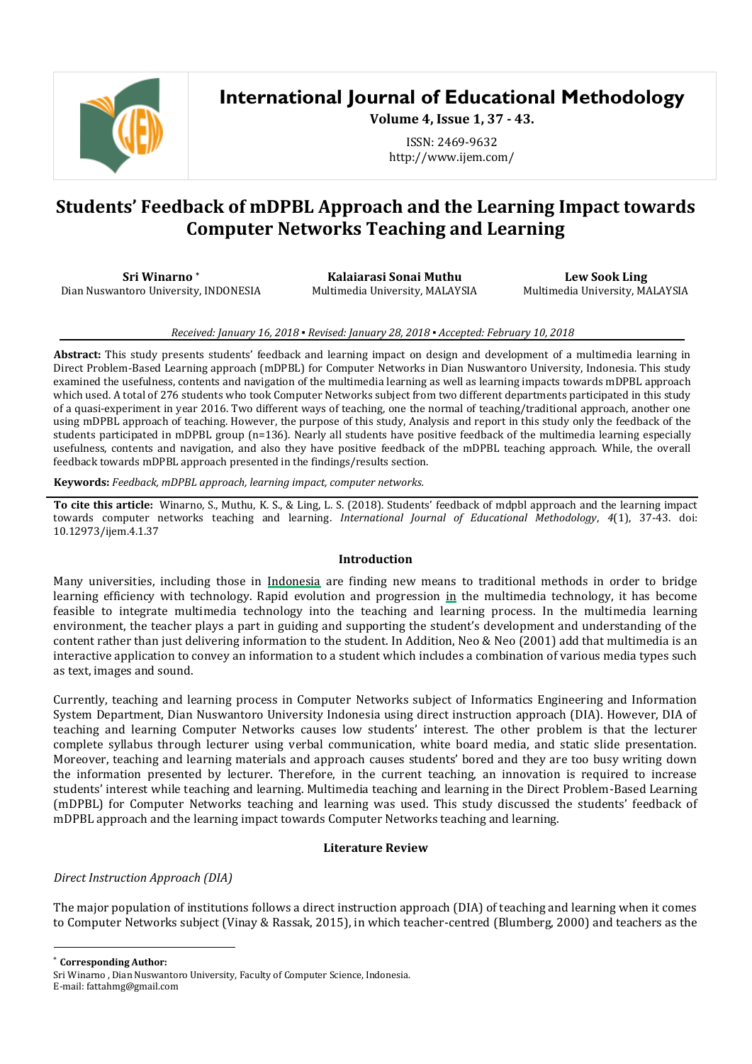

# **International Journal of Educational Methodology**

**Volume 4, Issue 1, 37 - 43.**

ISSN: 2469-9632 http://www.ijem.com/

# **Students' Feedback of mDPBL Approach and the Learning Impact towards Computer Networks Teaching and Learning**

**Sri Winarno \*** Dian Nuswantoro University, INDONESIA

**Kalaiarasi Sonai Muthu** Multimedia University, MALAYSIA

**Lew Sook Ling** Multimedia University, MALAYSIA

#### *Received: January 16, 2018 ▪ Revised: January 28, 2018 ▪ Accepted: February 10, 2018*

**Abstract:** This study presents students' feedback and learning impact on design and development of a multimedia learning in Direct Problem-Based Learning approach (mDPBL) for Computer Networks in Dian Nuswantoro University, Indonesia. This study examined the usefulness, contents and navigation of the multimedia learning as well as learning impacts towards mDPBL approach which used. A total of 276 students who took Computer Networks subject from two different departments participated in this study of a quasi-experiment in year 2016. Two different ways of teaching, one the normal of teaching/traditional approach, another one using mDPBL approach of teaching. However, the purpose of this study, Analysis and report in this study only the feedback of the students participated in mDPBL group (n=136). Nearly all students have positive feedback of the multimedia learning especially usefulness, contents and navigation, and also they have positive feedback of the mDPBL teaching approach. While, the overall feedback towards mDPBL approach presented in the findings/results section.

**Keywords:** *Feedback, mDPBL approach, learning impact, computer networks.*

**To cite this article:** Winarno, S., Muthu, K. S., & Ling, L. S. (2018). Students' feedback of mdpbl approach and the learning impact towards computer networks teaching and learning. *International Journal of Educational Methodology*, *4*(1), 37-43. doi: 10.12973/ijem.4.1.37

#### **Introduction**

Many universities, including those in Indonesia are finding new means to traditional methods in order to bridge learning efficiency with technology. Rapid evolution and progression in the multimedia technology, it has become feasible to integrate multimedia technology into the teaching and learning process. In the multimedia learning environment, the teacher plays a part in guiding and supporting the student's development and understanding of the content rather than just delivering information to the student. In Addition, Neo & Neo (2001) add that multimedia is an interactive application to convey an information to a student which includes a combination of various media types such as text, images and sound.

Currently, teaching and learning process in Computer Networks subject of Informatics Engineering and Information System Department, Dian Nuswantoro University Indonesia using direct instruction approach (DIA). However, DIA of teaching and learning Computer Networks causes low students' interest. The other problem is that the lecturer complete syllabus through lecturer using verbal communication, white board media, and static slide presentation. Moreover, teaching and learning materials and approach causes students' bored and they are too busy writing down the information presented by lecturer. Therefore, in the current teaching, an innovation is required to increase students' interest while teaching and learning. Multimedia teaching and learning in the Direct Problem-Based Learning (mDPBL) for Computer Networks teaching and learning was used. This study discussed the students' feedback of mDPBL approach and the learning impact towards Computer Networks teaching and learning.

### **Literature Review**

# *Direct Instruction Approach (DIA)*

The major population of institutions follows a direct instruction approach (DIA) of teaching and learning when it comes to Computer Networks subject (Vinay & Rassak, 2015), in which teacher-centred (Blumberg, 2000) and teachers as the

 $\overline{\phantom{a}}$ 

<sup>\*</sup> **Corresponding Author:**

Sri Winarno , Dian Nuswantoro University, Faculty of Computer Science, Indonesia.

E-mail: fattahmg@gmail.com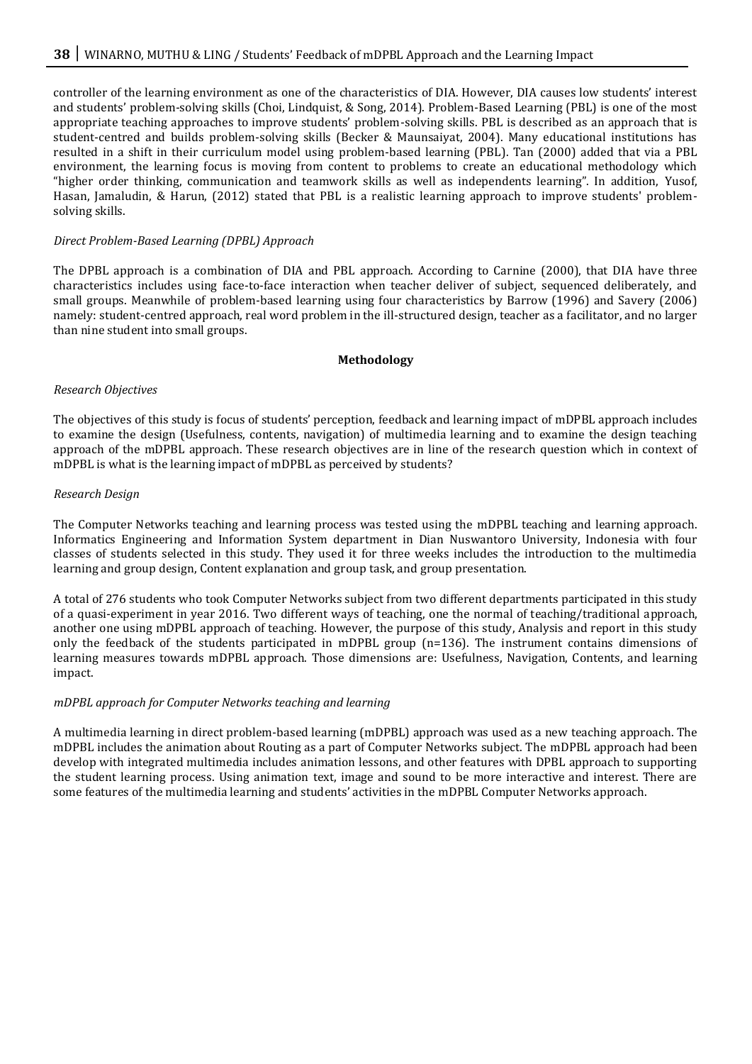controller of the learning environment as one of the characteristics of DIA. However, DIA causes low students' interest and students' problem-solving skills (Choi, Lindquist, & Song, 2014). Problem-Based Learning (PBL) is one of the most appropriate teaching approaches to improve students' problem-solving skills. PBL is described as an approach that is student-centred and builds problem-solving skills (Becker & Maunsaiyat, 2004). Many educational institutions has resulted in a shift in their curriculum model using problem-based learning (PBL). Tan (2000) added that via a PBL environment, the learning focus is moving from content to problems to create an educational methodology which "higher order thinking, communication and teamwork skills as well as independents learning". In addition, Yusof, Hasan, Jamaludin, & Harun, (2012) stated that PBL is a realistic learning approach to improve students' problemsolving skills.

### *Direct Problem-Based Learning (DPBL) Approach*

The DPBL approach is a combination of DIA and PBL approach. According to Carnine (2000), that DIA have three characteristics includes using face-to-face interaction when teacher deliver of subject, sequenced deliberately, and small groups. Meanwhile of problem-based learning using four characteristics by Barrow (1996) and Savery (2006) namely: student-centred approach, real word problem in the ill-structured design, teacher as a facilitator, and no larger than nine student into small groups.

### **Methodology**

### *Research Objectives*

The objectives of this study is focus of students' perception, feedback and learning impact of mDPBL approach includes to examine the design (Usefulness, contents, navigation) of multimedia learning and to examine the design teaching approach of the mDPBL approach. These research objectives are in line of the research question which in context of mDPBL is what is the learning impact of mDPBL as perceived by students?

### *Research Design*

The Computer Networks teaching and learning process was tested using the mDPBL teaching and learning approach. Informatics Engineering and Information System department in Dian Nuswantoro University, Indonesia with four classes of students selected in this study. They used it for three weeks includes the introduction to the multimedia learning and group design, Content explanation and group task, and group presentation.

A total of 276 students who took Computer Networks subject from two different departments participated in this study of a quasi-experiment in year 2016. Two different ways of teaching, one the normal of teaching/traditional approach, another one using mDPBL approach of teaching. However, the purpose of this study, Analysis and report in this study only the feedback of the students participated in mDPBL group (n=136). The instrument contains dimensions of learning measures towards mDPBL approach. Those dimensions are: Usefulness, Navigation, Contents, and learning impact.

### *mDPBL approach for Computer Networks teaching and learning*

A multimedia learning in direct problem-based learning (mDPBL) approach was used as a new teaching approach. The mDPBL includes the animation about Routing as a part of Computer Networks subject. The mDPBL approach had been develop with integrated multimedia includes animation lessons, and other features with DPBL approach to supporting the student learning process. Using animation text, image and sound to be more interactive and interest. There are some features of the multimedia learning and students' activities in the mDPBL Computer Networks approach.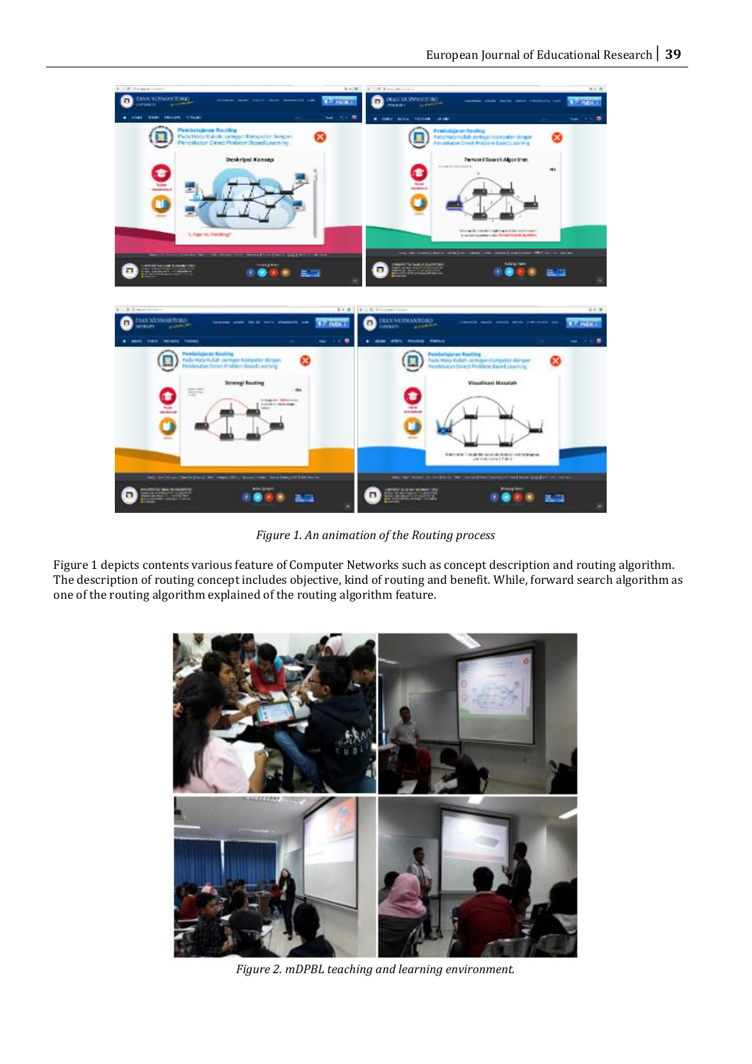

*Figure 1. An animation of the Routing process* 

Figure 1 depicts contents various feature of Computer Networks such as concept description and routing algorithm. The description of routing concept includes objective, kind of routing and benefit. While, forward search algorithm as one of the routing algorithm explained of the routing algorithm feature.



*Figure 2. mDPBL teaching and learning environment.*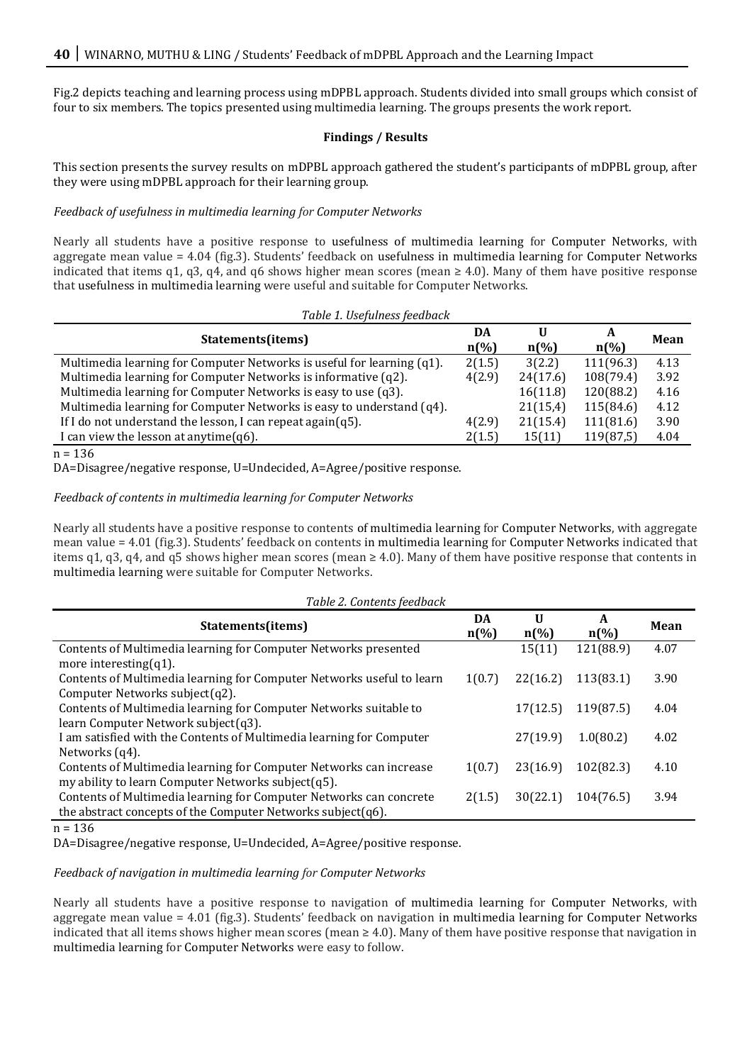Fig.2 depicts teaching and learning process using mDPBL approach. Students divided into small groups which consist of four to six members. The topics presented using multimedia learning. The groups presents the work report.

### **Findings / Results**

This section presents the survey results on mDPBL approach gathered the student's participants of mDPBL group, after they were using mDPBL approach for their learning group.

## *Feedback of usefulness in multimedia learning for Computer Networks*

Nearly all students have a positive response to usefulness of multimedia learning for Computer Networks, with aggregate mean value = 4.04 (fig.3). Students' feedback on usefulness in multimedia learning for Computer Networks indicated that items q1, q3, q4, and q6 shows higher mean scores (mean  $\geq$  4.0). Many of them have positive response that usefulness in multimedia learning were useful and suitable for Computer Networks.

| Table 1. Usefulness feedback                                           |                          |                      |                      |             |
|------------------------------------------------------------------------|--------------------------|----------------------|----------------------|-------------|
| Statements(items)                                                      | DA<br>$n\left(\%\right)$ | U<br>$n\binom{0}{0}$ | A<br>$n\binom{0}{0}$ | <b>Mean</b> |
| Multimedia learning for Computer Networks is useful for learning (q1). | 2(1.5)                   | 3(2.2)               | 111(96.3)            | 4.13        |
| Multimedia learning for Computer Networks is informative (q2).         | 4(2.9)                   | 24(17.6)             | 108(79.4)            | 3.92        |
| Multimedia learning for Computer Networks is easy to use (q3).         |                          | 16(11.8)             | 120(88.2)            | 4.16        |
| Multimedia learning for Computer Networks is easy to understand (q4).  |                          | 21(15,4)             | 115(84.6)            | 4.12        |
| If I do not understand the lesson, I can repeat $again(q5)$ .          | 4(2.9)                   | 21(15.4)             | 111(81.6)            | 3.90        |
| I can view the lesson at anytime $(q6)$ .                              | 2(1.5)                   | 15(11)               | 119(87,5)            | 4.04        |
| $-126$                                                                 |                          |                      |                      |             |

 $n = 136$ 

DA=Disagree/negative response, U=Undecided, A=Agree/positive response.

### *Feedback of contents in multimedia learning for Computer Networks*

Nearly all students have a positive response to contents of multimedia learning for Computer Networks, with aggregate mean value = 4.01 (fig.3). Students' feedback on contents in multimedia learning for Computer Networks indicated that items q1, q3, q4, and q5 shows higher mean scores (mean  $\geq$  4.0). Many of them have positive response that contents in multimedia learning were suitable for Computer Networks.

| Table 2. Contents feedback                                                                                                        |                          |                         |                         |      |
|-----------------------------------------------------------------------------------------------------------------------------------|--------------------------|-------------------------|-------------------------|------|
| Statements(items)                                                                                                                 | DA<br>$n\left(\%\right)$ | U<br>$n\left(\%\right)$ | A<br>$n\left(\%\right)$ | Mean |
| Contents of Multimedia learning for Computer Networks presented<br>more interesting $(q1)$ .                                      |                          | 15(11)                  | 121(88.9)               | 4.07 |
| Contents of Multimedia learning for Computer Networks useful to learn<br>Computer Networks subject(q2).                           | 1(0.7)                   | 22(16.2)                | 113(83.1)               | 3.90 |
| Contents of Multimedia learning for Computer Networks suitable to<br>learn Computer Network subject(q3).                          |                          | 17(12.5)                | 119(87.5)               | 4.04 |
| I am satisfied with the Contents of Multimedia learning for Computer<br>Networks (q4).                                            |                          | 27(19.9)                | 1.0(80.2)               | 4.02 |
| Contents of Multimedia learning for Computer Networks can increase<br>my ability to learn Computer Networks subject(q5).          | 1(0.7)                   | 23(16.9)                | 102(82.3)               | 4.10 |
| Contents of Multimedia learning for Computer Networks can concrete<br>the abstract concepts of the Computer Networks subject(q6). | 2(1.5)                   | 30(22.1)                | 104(76.5)               | 3.94 |

 $n = 136$ 

DA=Disagree/negative response, U=Undecided, A=Agree/positive response.

*Feedback of navigation in multimedia learning for Computer Networks*

Nearly all students have a positive response to navigation of multimedia learning for Computer Networks, with aggregate mean value = 4.01 (fig.3). Students' feedback on navigation in multimedia learning for Computer Networks indicated that all items shows higher mean scores (mean  $\geq 4.0$ ). Many of them have positive response that navigation in multimedia learning for Computer Networks were easy to follow.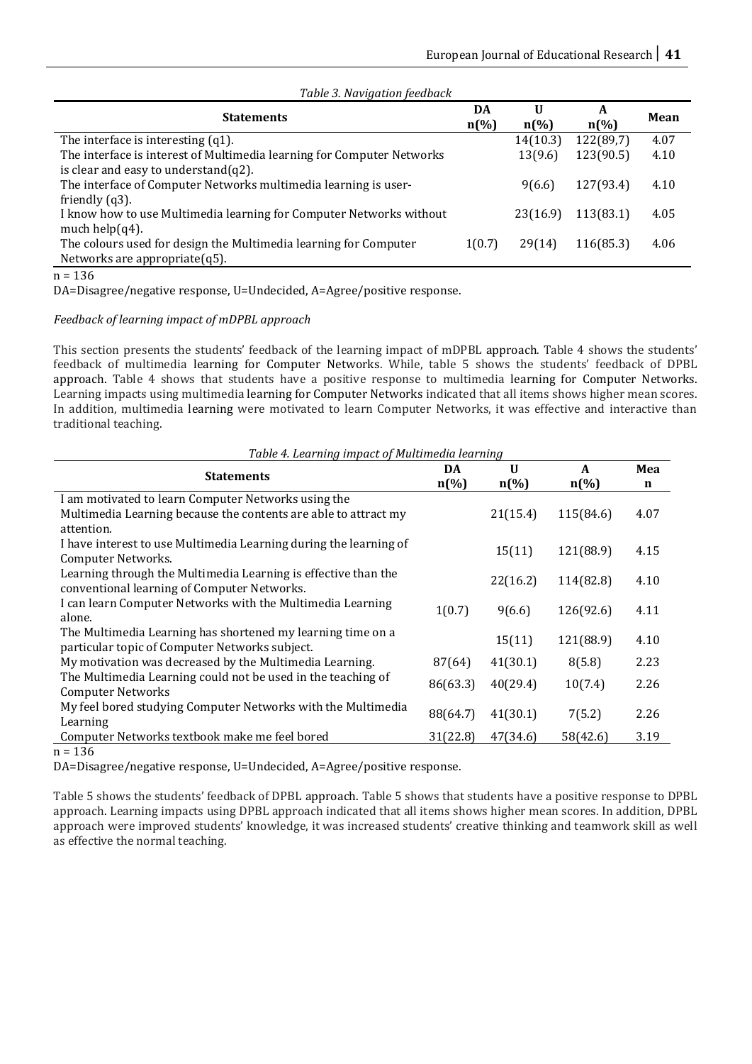| Table 3. Navigation Jeeapack                                           |                          |                         |                         |             |
|------------------------------------------------------------------------|--------------------------|-------------------------|-------------------------|-------------|
| <b>Statements</b>                                                      | DA<br>$n\left(\%\right)$ | U<br>$n\left(\%\right)$ | A<br>$n\left(\%\right)$ | <b>Mean</b> |
| The interface is interesting $(q1)$ .                                  |                          | 14(10.3)                | 122(89,7)               | 4.07        |
| The interface is interest of Multimedia learning for Computer Networks |                          | 13(9.6)                 | 123(90.5)               | 4.10        |
| is clear and easy to understand $(q2)$ .                               |                          |                         |                         |             |
| The interface of Computer Networks multimedia learning is user-        |                          | 9(6.6)                  | 127(93.4)               | 4.10        |
| friendly $(q3)$ .                                                      |                          |                         |                         |             |
| I know how to use Multimedia learning for Computer Networks without    |                          | 23(16.9)                | 113(83.1)               | 4.05        |
| much help $(q4)$ .                                                     |                          |                         |                         |             |
| The colours used for design the Multimedia learning for Computer       | 1(0.7)                   | 29(14)                  | 116(85.3)               | 4.06        |
| Networks are appropriate $(q5)$ .                                      |                          |                         |                         |             |
| $\sim$                                                                 |                          |                         |                         |             |

*Table 3. Navigation feedback*

n = 136

DA=Disagree/negative response, U=Undecided, A=Agree/positive response.

## *Feedback of learning impact of mDPBL approach*

This section presents the students' feedback of the learning impact of mDPBL approach. Table 4 shows the students' feedback of multimedia learning for Computer Networks. While, table 5 shows the students' feedback of DPBL approach. Table 4 shows that students have a positive response to multimedia learning for Computer Networks. Learning impacts using multimedia learning for Computer Networks indicated that all items shows higher mean scores. In addition, multimedia learning were motivated to learn Computer Networks, it was effective and interactive than traditional teaching.

| Table 4. Learning impact of Multimedia learning                   |                    |                    |                    |             |
|-------------------------------------------------------------------|--------------------|--------------------|--------------------|-------------|
| <b>Statements</b>                                                 | DA                 | U                  | A                  | Mea         |
|                                                                   | $n\left(\%\right)$ | $n\left(\%\right)$ | $n\left(\%\right)$ | $\mathbf n$ |
| I am motivated to learn Computer Networks using the               |                    |                    |                    |             |
| Multimedia Learning because the contents are able to attract my   |                    | 21(15.4)           | 115(84.6)          | 4.07        |
| attention.                                                        |                    |                    |                    |             |
| I have interest to use Multimedia Learning during the learning of |                    | 15(11)             | 121(88.9)          |             |
| Computer Networks.                                                |                    |                    |                    | 4.15        |
| Learning through the Multimedia Learning is effective than the    |                    |                    |                    |             |
| conventional learning of Computer Networks.                       |                    | 22(16.2)           | 114(82.8)          | 4.10        |
| I can learn Computer Networks with the Multimedia Learning        |                    |                    |                    | 4.11        |
| alone.                                                            | 1(0.7)             | 9(6.6)             | 126(92.6)          |             |
| The Multimedia Learning has shortened my learning time on a       |                    |                    |                    |             |
| particular topic of Computer Networks subject.                    |                    | 15(11)             | 121(88.9)          | 4.10        |
| My motivation was decreased by the Multimedia Learning.           | 87(64)             | 41(30.1)           | 8(5.8)             | 2.23        |
| The Multimedia Learning could not be used in the teaching of      |                    |                    |                    |             |
| <b>Computer Networks</b>                                          | 86(63.3)           | 40(29.4)           | 10(7.4)            | 2.26        |
| My feel bored studying Computer Networks with the Multimedia      |                    |                    |                    |             |
| Learning                                                          | 88(64.7)           | 41(30.1)           | 7(5.2)             | 2.26        |
| Computer Networks textbook make me feel bored                     | 31(22.8)           | 47(34.6)           | 58(42.6)           | 3.19        |
| 100                                                               |                    |                    |                    |             |

n = 136

DA=Disagree/negative response, U=Undecided, A=Agree/positive response.

Table 5 shows the students' feedback of DPBL approach. Table 5 shows that students have a positive response to DPBL approach. Learning impacts using DPBL approach indicated that all items shows higher mean scores. In addition, DPBL approach were improved students' knowledge, it was increased students' creative thinking and teamwork skill as well as effective the normal teaching.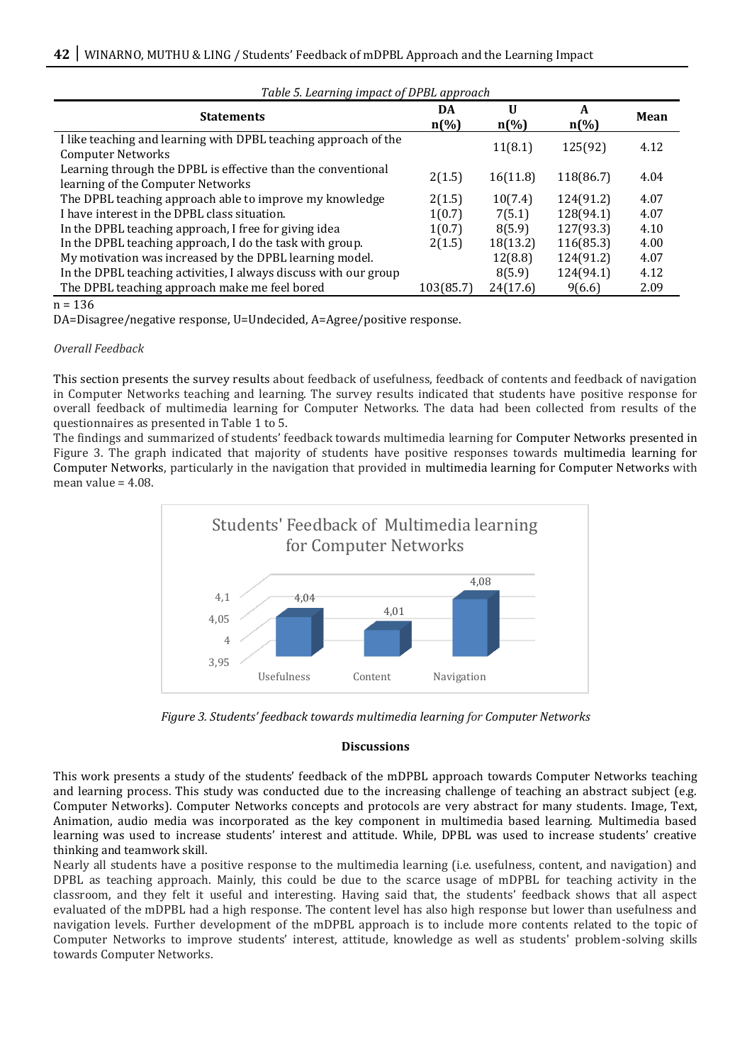| Table 5. Learning impact of DFBL approach                                                         |                          |                         |                         |      |  |
|---------------------------------------------------------------------------------------------------|--------------------------|-------------------------|-------------------------|------|--|
| <b>Statements</b>                                                                                 | DA<br>$n\left(\%\right)$ | U<br>$n\left(\%\right)$ | A<br>$n\left(\%\right)$ | Mean |  |
| I like teaching and learning with DPBL teaching approach of the<br><b>Computer Networks</b>       |                          | 11(8.1)                 | 125(92)                 | 4.12 |  |
| Learning through the DPBL is effective than the conventional<br>learning of the Computer Networks | 2(1.5)                   | 16(11.8)                | 118(86.7)               | 4.04 |  |
| The DPBL teaching approach able to improve my knowledge                                           | 2(1.5)                   | 10(7.4)                 | 124(91.2)               | 4.07 |  |
| I have interest in the DPBL class situation.                                                      | 1(0.7)                   | 7(5.1)                  | 128(94.1)               | 4.07 |  |
| In the DPBL teaching approach, I free for giving idea                                             | 1(0.7)                   | 8(5.9)                  | 127(93.3)               | 4.10 |  |
| In the DPBL teaching approach, I do the task with group.                                          | 2(1.5)                   | 18(13.2)                | 116(85.3)               | 4.00 |  |
| My motivation was increased by the DPBL learning model.                                           |                          | 12(8.8)                 | 124(91.2)               | 4.07 |  |
| In the DPBL teaching activities, I always discuss with our group                                  |                          | 8(5.9)                  | 124(94.1)               | 4.12 |  |
| The DPBL teaching approach make me feel bored                                                     | 103(85.7)                | 24(17.6)                | 9(6.6)                  | 2.09 |  |

# *Table 5. Learning impact of DPBL approach*

 $n = 136$ 

DA=Disagree/negative response, U=Undecided, A=Agree/positive response.

### *Overall Feedback*

This section presents the survey results about feedback of usefulness, feedback of contents and feedback of navigation in Computer Networks teaching and learning. The survey results indicated that students have positive response for overall feedback of multimedia learning for Computer Networks. The data had been collected from results of the questionnaires as presented in Table 1 to 5.

The findings and summarized of students' feedback towards multimedia learning for Computer Networks presented in Figure 3. The graph indicated that majority of students have positive responses towards multimedia learning for Computer Networks, particularly in the navigation that provided in multimedia learning for Computer Networks with mean value  $= 4.08$ .



*Figure 3. Students' feedback towards multimedia learning for Computer Networks* 

### **Discussions**

This work presents a study of the students' feedback of the mDPBL approach towards Computer Networks teaching and learning process. This study was conducted due to the increasing challenge of teaching an abstract subject (e.g. Computer Networks). Computer Networks concepts and protocols are very abstract for many students. Image, Text, Animation, audio media was incorporated as the key component in multimedia based learning. Multimedia based learning was used to increase students' interest and attitude. While, DPBL was used to increase students' creative thinking and teamwork skill.

Nearly all students have a positive response to the multimedia learning (i.e. usefulness, content, and navigation) and DPBL as teaching approach. Mainly, this could be due to the scarce usage of mDPBL for teaching activity in the classroom, and they felt it useful and interesting. Having said that, the students' feedback shows that all aspect evaluated of the mDPBL had a high response. The content level has also high response but lower than usefulness and navigation levels. Further development of the mDPBL approach is to include more contents related to the topic of Computer Networks to improve students' interest, attitude, knowledge as well as students' problem-solving skills towards Computer Networks.